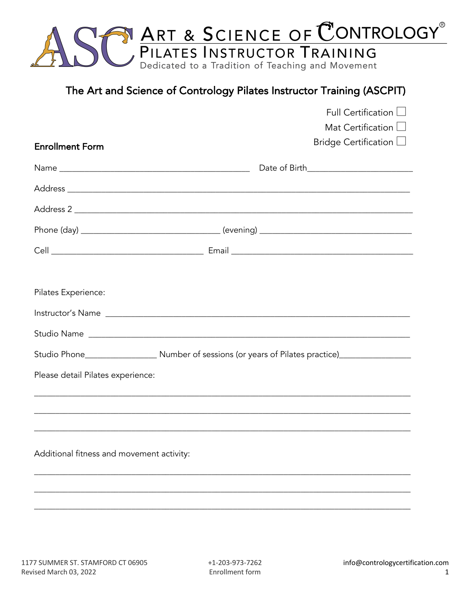

# The Art and Science of Contrology Pilates Instructor Training (ASCPIT)

|                                           | Full Certification L                                    |
|-------------------------------------------|---------------------------------------------------------|
|                                           | Mat Certification $\Box$<br>Bridge Certification $\Box$ |
| <b>Enrollment Form</b>                    |                                                         |
|                                           |                                                         |
|                                           |                                                         |
|                                           |                                                         |
|                                           |                                                         |
|                                           |                                                         |
|                                           |                                                         |
| Pilates Experience:                       |                                                         |
|                                           |                                                         |
|                                           |                                                         |
|                                           |                                                         |
| Please detail Pilates experience:         |                                                         |
|                                           |                                                         |
|                                           |                                                         |
|                                           |                                                         |
| Additional fitness and movement activity: |                                                         |
|                                           |                                                         |
|                                           |                                                         |
|                                           |                                                         |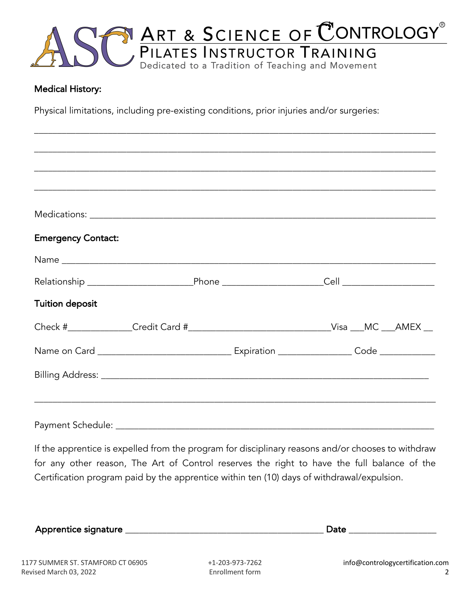

\_\_\_\_\_\_\_\_\_\_\_\_\_\_\_\_\_\_\_\_\_\_\_\_\_\_\_\_\_\_\_\_\_\_\_\_\_\_\_\_\_\_\_\_\_\_\_\_\_\_\_\_\_\_\_\_\_\_\_\_\_\_\_\_\_\_\_\_\_\_\_\_\_\_\_\_\_\_\_\_\_\_\_\_\_\_\_

### Medical History:

Physical limitations, including pre-existing conditions, prior injuries and/or surgeries:

| <b>Emergency Contact:</b>                                                                   |                                                                                  |  |  |  |
|---------------------------------------------------------------------------------------------|----------------------------------------------------------------------------------|--|--|--|
|                                                                                             |                                                                                  |  |  |  |
|                                                                                             |                                                                                  |  |  |  |
| <b>Tuition deposit</b>                                                                      |                                                                                  |  |  |  |
| Check #_______________Credit Card #___________________________________Visa ___MC ___AMEX __ |                                                                                  |  |  |  |
|                                                                                             |                                                                                  |  |  |  |
|                                                                                             |                                                                                  |  |  |  |
|                                                                                             | ,我们也不能会在这里,我们也不能会在这里,我们也不能会在这里,我们也不能会在这里,我们也不能会在这里,我们也不能会在这里,我们也不能会在这里,我们也不能会在这里 |  |  |  |
|                                                                                             |                                                                                  |  |  |  |

If the apprentice is expelled from the program for disciplinary reasons and/or chooses to withdraw for any other reason, The Art of Control reserves the right to have the full balance of the Certification program paid by the apprentice within ten (10) days of withdrawal/expulsion.

| Apprentice signature |  |
|----------------------|--|
|                      |  |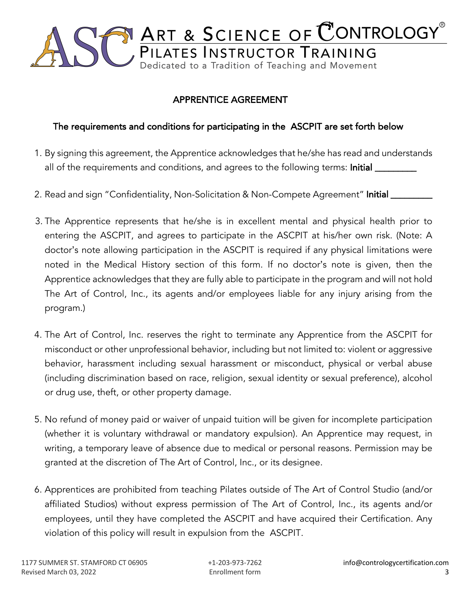

## APPRENTICE AGREEMENT

## The requirements and conditions for participating in the ASCPIT are set forth below

- 1. By signing this agreement, the Apprentice acknowledges that he/she has read and understands all of the requirements and conditions, and agrees to the following terms: Initial \_\_\_\_\_\_\_\_\_
- 2. Read and sign "Confidentiality, Non-Solicitation & Non-Compete Agreement" Initial \_
- 3. The Apprentice represents that he/she is in excellent mental and physical health prior to entering the ASCPIT, and agrees to participate in the ASCPIT at his/her own risk. (Note: A doctor's note allowing participation in the ASCPIT is required if any physical limitations were noted in the Medical History section of this form. If no doctor's note is given, then the Apprentice acknowledges that they are fully able to participate in the program and will not hold The Art of Control, Inc., its agents and/or employees liable for any injury arising from the program.)
- 4. The Art of Control, Inc. reserves the right to terminate any Apprentice from the ASCPIT for misconduct or other unprofessional behavior, including but not limited to: violent or aggressive behavior, harassment including sexual harassment or misconduct, physical or verbal abuse (including discrimination based on race, religion, sexual identity or sexual preference), alcohol or drug use, theft, or other property damage.
- 5. No refund of money paid or waiver of unpaid tuition will be given for incomplete participation (whether it is voluntary withdrawal or mandatory expulsion). An Apprentice may request, in writing, a temporary leave of absence due to medical or personal reasons. Permission may be granted at the discretion of The Art of Control, Inc., or its designee.
- 6. Apprentices are prohibited from teaching Pilates outside of The Art of Control Studio (and/or affiliated Studios) without express permission of The Art of Control, Inc., its agents and/or employees, until they have completed the ASCPIT and have acquired their Certification. Any violation of this policy will result in expulsion from the ASCPIT.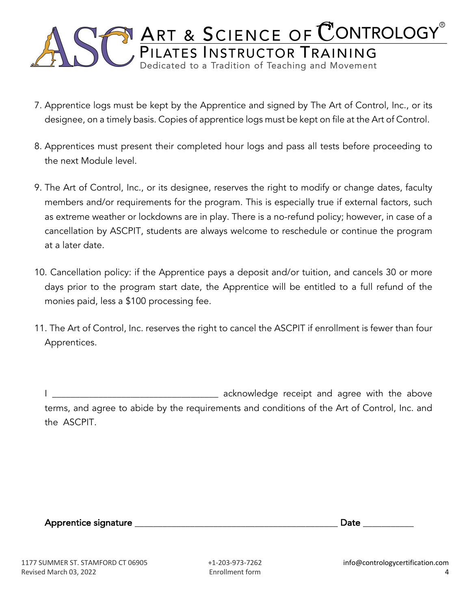

- 7. Apprentice logs must be kept by the Apprentice and signed by The Art of Control, Inc., or its designee, on a timely basis. Copies of apprentice logs must be kept on file at the Art of Control.
- 8. Apprentices must present their completed hour logs and pass all tests before proceeding to the next Module level.
- 9. The Art of Control, Inc., or its designee, reserves the right to modify or change dates, faculty members and/or requirements for the program. This is especially true if external factors, such as extreme weather or lockdowns are in play. There is a no-refund policy; however, in case of a cancellation by ASCPIT, students are always welcome to reschedule or continue the program at a later date.
- 10. Cancellation policy: if the Apprentice pays a deposit and/or tuition, and cancels 30 or more days prior to the program start date, the Apprentice will be entitled to a full refund of the monies paid, less a \$100 processing fee.
- 11. The Art of Control, Inc. reserves the right to cancel the ASCPIT if enrollment is fewer than four Apprentices.

I \_\_\_\_\_\_\_\_\_\_\_\_\_\_\_\_\_\_\_\_\_\_\_\_\_\_\_\_\_\_\_\_\_\_\_\_ acknowledge receipt and agree with the above terms, and agree to abide by the requirements and conditions of the Art of Control, Inc. and the ASCPIT.

Apprentice signature \_\_\_\_\_\_\_\_\_\_\_\_\_\_\_\_\_\_\_\_\_\_\_\_\_\_\_\_\_\_\_\_\_\_\_\_\_\_\_\_\_\_\_\_ Date \_\_\_\_\_\_\_\_\_\_\_